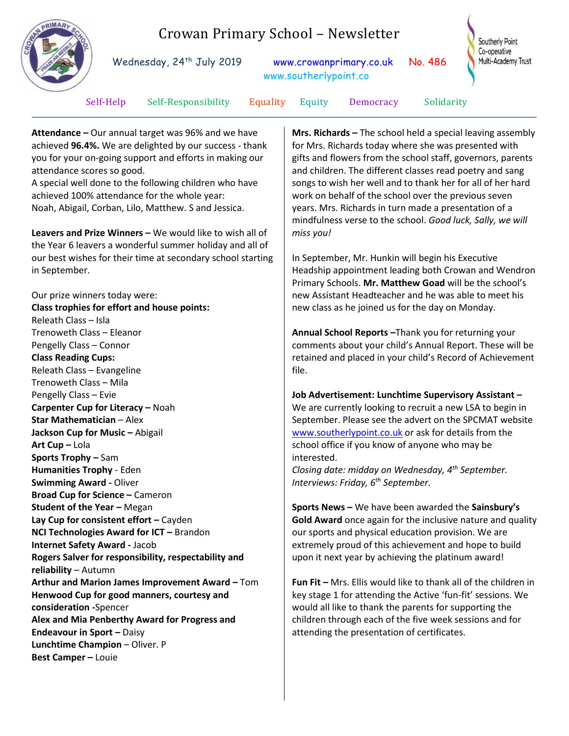

Trenoweth Class – Eleanor Pengelly Class – Connor **Class Reading Cups:** Releath Class – Evangeline Trenoweth Class – Mila Pengelly Class – Evie

**Star Mathematician** – Alex **Jackson Cup for Music - Abigail** 

**Art Cup –** Lola

**Sports Trophy –** Sam **Humanities Trophy** - Eden **Swimming Award -** Oliver

**reliability** – Autumn

**consideration -**Spencer

**Best Camper –** Louie

**Endeavour in Sport – Daisy Lunchtime Champion** – Oliver. P

**Carpenter Cup for Literacy –** Noah

**Broad Cup for Science –** Cameron **Student of the Year –** Megan

**Internet Safety Award -** Jacob

**Lay Cup for consistent effort - Cayden NCI Technologies Award for ICT – Brandon** 

**Rogers Salver for responsibility, respectability and** 

**Henwood Cup for good manners, courtesy and** 

**Alex and Mia Penberthy Award for Progress and** 

**Arthur and Marion James Improvement Award –** Tom

**Annual School Reports –**Thank you for returning your comments about your child's Annual Report. These will be retained and placed in your child's Record of Achievement file.

**Job Advertisement: Lunchtime Supervisory Assistant –** We are currently looking to recruit a new LSA to begin in September. Please see the advert on the SPCMAT website [www.southerlypoint.co.uk](http://www.southerlypoint.co.uk/) or ask for details from the school office if you know of anyone who may be interested. *Closing date: midday on Wednesday, 4th September.* 

*Interviews: Friday, 6th September.* **Sports News –** We have been awarded the **Sainsbury's** 

**Gold Award** once again for the inclusive nature and quality our sports and physical education provision. We are extremely proud of this achievement and hope to build upon it next year by achieving the platinum award!

**Fun Fit –** Mrs. Ellis would like to thank all of the children in key stage 1 for attending the Active 'fun-fit' sessions. We would all like to thank the parents for supporting the children through each of the five week sessions and for attending the presentation of certificates.